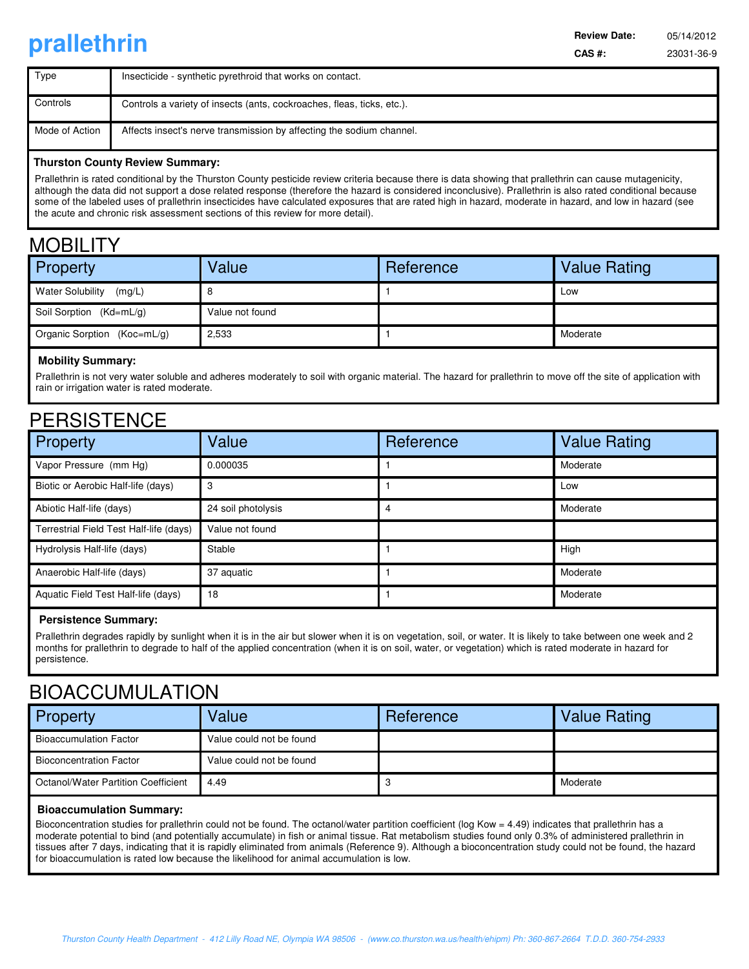# **prallethrin CAS #:** 23031-36-9

**Review Date:** 

| Type           | Insecticide - synthetic pyrethroid that works on contact.              |
|----------------|------------------------------------------------------------------------|
| Controls       | Controls a variety of insects (ants, cockroaches, fleas, ticks, etc.). |
| Mode of Action | Affects insect's nerve transmission by affecting the sodium channel.   |

#### **Thurston County Review Summary:**

Prallethrin is rated conditional by the Thurston County pesticide review criteria because there is data showing that prallethrin can cause mutagenicity, although the data did not support a dose related response (therefore the hazard is considered inconclusive). Prallethrin is also rated conditional because some of the labeled uses of prallethrin insecticides have calculated exposures that are rated high in hazard, moderate in hazard, and low in hazard (see the acute and chronic risk assessment sections of this review for more detail).

### MORII ITY

| .                                 |                 |           |                     |  |  |
|-----------------------------------|-----------------|-----------|---------------------|--|--|
| Property                          | Value           | Reference | <b>Value Rating</b> |  |  |
| <b>Water Solubility</b><br>(mg/L) |                 |           | Low                 |  |  |
| Soil Sorption (Kd=mL/g)           | Value not found |           |                     |  |  |
| Organic Sorption (Koc=mL/g)       | 2,533           |           | Moderate            |  |  |
|                                   |                 |           |                     |  |  |

### **Mobility Summary:**

Prallethrin is not very water soluble and adheres moderately to soil with organic material. The hazard for prallethrin to move off the site of application with rain or irrigation water is rated moderate.

### **PERSISTENCE**

| Property                                | Value              | Reference | <b>Value Rating</b> |
|-----------------------------------------|--------------------|-----------|---------------------|
| Vapor Pressure (mm Hg)                  | 0.000035           |           | Moderate            |
| Biotic or Aerobic Half-life (days)      | 3                  |           | Low                 |
| Abiotic Half-life (days)                | 24 soil photolysis |           | Moderate            |
| Terrestrial Field Test Half-life (days) | Value not found    |           |                     |
| Hydrolysis Half-life (days)             | Stable             |           | High                |
| Anaerobic Half-life (days)              | 37 aquatic         |           | Moderate            |
| Aquatic Field Test Half-life (days)     | 18                 |           | Moderate            |

### **Persistence Summary:**

Prallethrin degrades rapidly by sunlight when it is in the air but slower when it is on vegetation, soil, or water. It is likely to take between one week and 2 months for prallethrin to degrade to half of the applied concentration (when it is on soil, water, or vegetation) which is rated moderate in hazard for persistence.

### BIOACCUMULATION

| <b>Property</b>                     | Value                    | Reference | <b>Value Rating</b> |
|-------------------------------------|--------------------------|-----------|---------------------|
| <b>Bioaccumulation Factor</b>       | Value could not be found |           |                     |
| <b>Bioconcentration Factor</b>      | Value could not be found |           |                     |
| Octanol/Water Partition Coefficient | 4.49                     |           | Moderate            |

### **Bioaccumulation Summary:**

Bioconcentration studies for prallethrin could not be found. The octanol/water partition coefficient (log Kow = 4.49) indicates that prallethrin has a moderate potential to bind (and potentially accumulate) in fish or animal tissue. Rat metabolism studies found only 0.3% of administered prallethrin in tissues after 7 days, indicating that it is rapidly eliminated from animals (Reference 9). Although a bioconcentration study could not be found, the hazard for bioaccumulation is rated low because the likelihood for animal accumulation is low.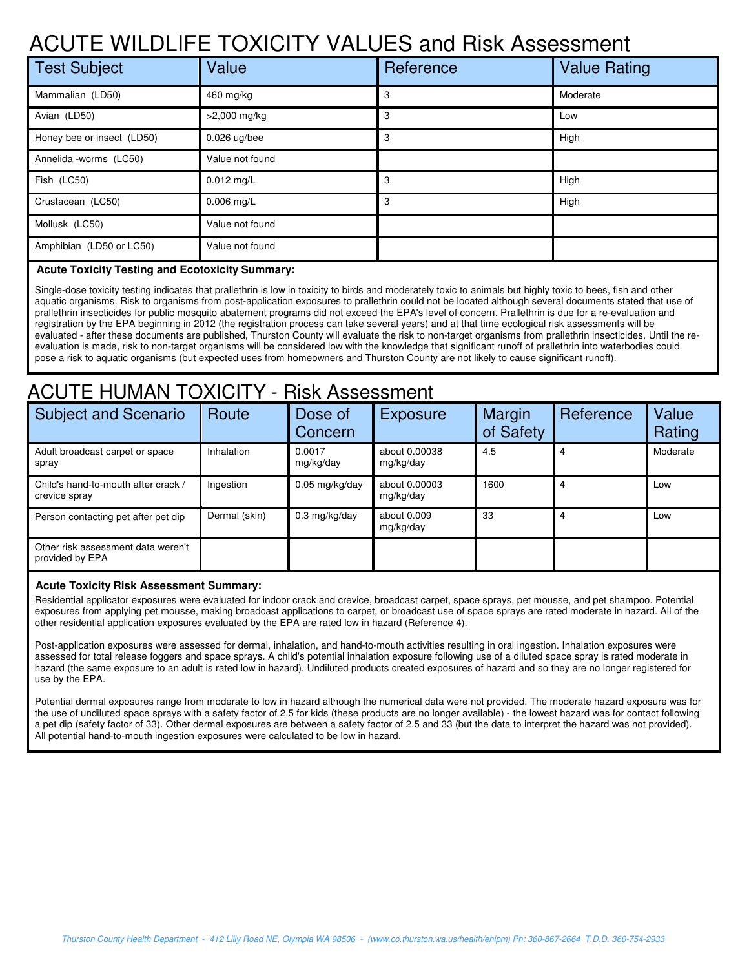## ACUTE WILDLIFE TOXICITY VALUES and Risk Assessment

| <b>Test Subject</b>        | Value           | Reference | <b>Value Rating</b> |
|----------------------------|-----------------|-----------|---------------------|
| Mammalian (LD50)           | 460 mg/kg       | 3         | Moderate            |
| Avian (LD50)               | $>2,000$ mg/kg  | 3         | Low                 |
| Honey bee or insect (LD50) | $0.026$ ug/bee  | 3         | High                |
| Annelida -worms (LC50)     | Value not found |           |                     |
| Fish (LC50)                | $0.012$ mg/L    | 3         | High                |
| Crustacean (LC50)          | $0.006$ mg/L    | 3         | High                |
| Mollusk (LC50)             | Value not found |           |                     |
| Amphibian (LD50 or LC50)   | Value not found |           |                     |

### **Acute Toxicity Testing and Ecotoxicity Summary:**

Single-dose toxicity testing indicates that prallethrin is low in toxicity to birds and moderately toxic to animals but highly toxic to bees, fish and other aquatic organisms. Risk to organisms from post-application exposures to prallethrin could not be located although several documents stated that use of prallethrin insecticides for public mosquito abatement programs did not exceed the EPA's level of concern. Prallethrin is due for a re-evaluation and registration by the EPA beginning in 2012 (the registration process can take several years) and at that time ecological risk assessments will be evaluated - after these documents are published, Thurston County will evaluate the risk to non-target organisms from prallethrin insecticides. Until the reevaluation is made, risk to non-target organisms will be considered low with the knowledge that significant runoff of prallethrin into waterbodies could pose a risk to aquatic organisms (but expected uses from homeowners and Thurston County are not likely to cause significant runoff).

## ACUTE HUMAN TOXICITY - Risk Assessment

| <b>Subject and Scenario</b>                           | Route             | Dose of<br>Concern  | <b>Exposure</b>            | Margin<br>of Safety | Reference | Value<br>Rating |
|-------------------------------------------------------|-------------------|---------------------|----------------------------|---------------------|-----------|-----------------|
| Adult broadcast carpet or space<br>spray              | <b>Inhalation</b> | 0.0017<br>mg/kg/day | about 0.00038<br>mg/kg/day | 4.5                 |           | Moderate        |
| Child's hand-to-mouth after crack /<br>crevice spray  | Ingestion         | $0.05$ mg/kg/day    | about 0.00003<br>mg/kg/day | 1600                |           | Low             |
| Person contacting pet after pet dip                   | Dermal (skin)     | $0.3$ mg/kg/day     | about 0.009<br>mg/kg/day   | 33                  |           | Low             |
| Other risk assessment data weren't<br>provided by EPA |                   |                     |                            |                     |           |                 |

#### **Acute Toxicity Risk Assessment Summary:**

Residential applicator exposures were evaluated for indoor crack and crevice, broadcast carpet, space sprays, pet mousse, and pet shampoo. Potential exposures from applying pet mousse, making broadcast applications to carpet, or broadcast use of space sprays are rated moderate in hazard. All of the other residential application exposures evaluated by the EPA are rated low in hazard (Reference 4).

Post-application exposures were assessed for dermal, inhalation, and hand-to-mouth activities resulting in oral ingestion. Inhalation exposures were assessed for total release foggers and space sprays. A child's potential inhalation exposure following use of a diluted space spray is rated moderate in hazard (the same exposure to an adult is rated low in hazard). Undiluted products created exposures of hazard and so they are no longer registered for use by the EPA.

Potential dermal exposures range from moderate to low in hazard although the numerical data were not provided. The moderate hazard exposure was for the use of undiluted space sprays with a safety factor of 2.5 for kids (these products are no longer available) - the lowest hazard was for contact following a pet dip (safety factor of 33). Other dermal exposures are between a safety factor of 2.5 and 33 (but the data to interpret the hazard was not provided). All potential hand-to-mouth ingestion exposures were calculated to be low in hazard.